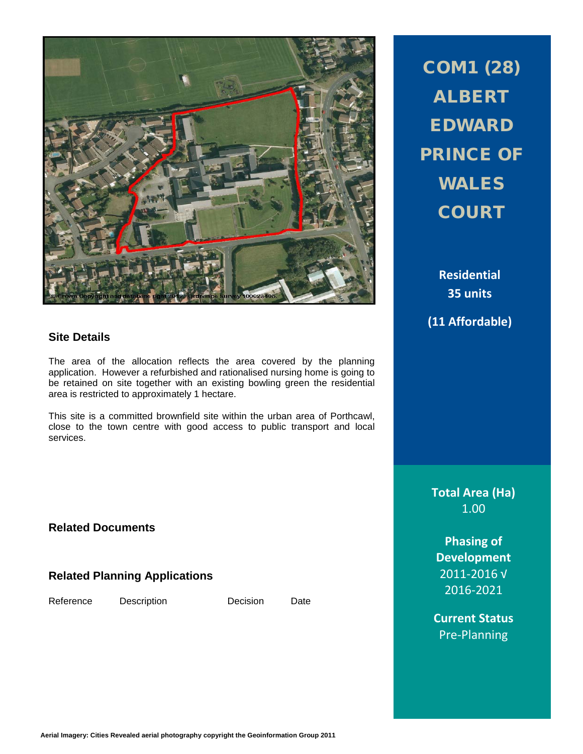

# **Site Details**

The area of the allocation reflects the area covered by the planning application. However a refurbished and rationalised nursing home is going to be retained on site together with an existing bowling green the residential area is restricted to approximately 1 hectare.

This site is a committed brownfield site within the urban area of Porthcawl, close to the town centre with good access to public transport and local services.

**Related Documents**

**Related Planning Applications**

Reference Description Decision Date

COM1 (28) ALBERT EDWARD PRINCE OF WALES **COURT** 

> **Residential 35 units**

**(11 Affordable)**

**Total Area (Ha)** 1.00

**Phasing of Development** 2011-2016 √ 2016-2021

**Current Status** Pre-Planning